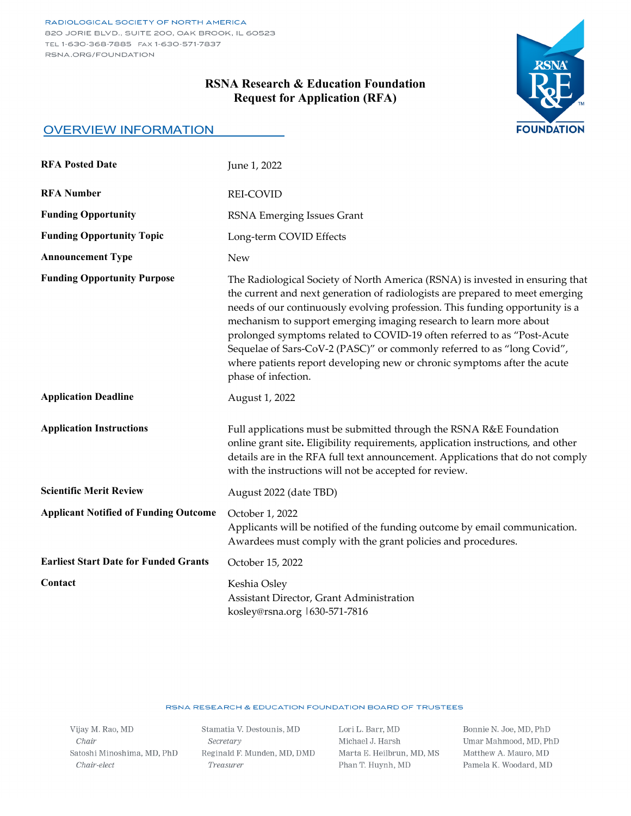# **RSNA Research & Education Foundation Request for Application (RFA)**



### OVERVIEW INFORMATION

| <b>RFA Posted Date</b>                       | June 1, 2022                                                                                                                                                                                                                                                                                                                                                                                                                                                                                                                                                                  |
|----------------------------------------------|-------------------------------------------------------------------------------------------------------------------------------------------------------------------------------------------------------------------------------------------------------------------------------------------------------------------------------------------------------------------------------------------------------------------------------------------------------------------------------------------------------------------------------------------------------------------------------|
| <b>RFA Number</b>                            | <b>REI-COVID</b>                                                                                                                                                                                                                                                                                                                                                                                                                                                                                                                                                              |
| <b>Funding Opportunity</b>                   | RSNA Emerging Issues Grant                                                                                                                                                                                                                                                                                                                                                                                                                                                                                                                                                    |
| <b>Funding Opportunity Topic</b>             | Long-term COVID Effects                                                                                                                                                                                                                                                                                                                                                                                                                                                                                                                                                       |
| <b>Announcement Type</b>                     | <b>New</b>                                                                                                                                                                                                                                                                                                                                                                                                                                                                                                                                                                    |
| <b>Funding Opportunity Purpose</b>           | The Radiological Society of North America (RSNA) is invested in ensuring that<br>the current and next generation of radiologists are prepared to meet emerging<br>needs of our continuously evolving profession. This funding opportunity is a<br>mechanism to support emerging imaging research to learn more about<br>prolonged symptoms related to COVID-19 often referred to as "Post-Acute<br>Sequelae of Sars-CoV-2 (PASC)" or commonly referred to as "long Covid",<br>where patients report developing new or chronic symptoms after the acute<br>phase of infection. |
| <b>Application Deadline</b>                  | August 1, 2022                                                                                                                                                                                                                                                                                                                                                                                                                                                                                                                                                                |
| <b>Application Instructions</b>              | Full applications must be submitted through the RSNA R&E Foundation<br>online grant site. Eligibility requirements, application instructions, and other<br>details are in the RFA full text announcement. Applications that do not comply<br>with the instructions will not be accepted for review.                                                                                                                                                                                                                                                                           |
| <b>Scientific Merit Review</b>               | August 2022 (date TBD)                                                                                                                                                                                                                                                                                                                                                                                                                                                                                                                                                        |
| <b>Applicant Notified of Funding Outcome</b> | October 1, 2022<br>Applicants will be notified of the funding outcome by email communication.<br>Awardees must comply with the grant policies and procedures.                                                                                                                                                                                                                                                                                                                                                                                                                 |
| <b>Earliest Start Date for Funded Grants</b> | October 15, 2022                                                                                                                                                                                                                                                                                                                                                                                                                                                                                                                                                              |
| Contact                                      | Keshia Osley<br>Assistant Director, Grant Administration<br>kosley@rsna.org 1630-571-7816                                                                                                                                                                                                                                                                                                                                                                                                                                                                                     |

#### RSNA RESEARCH & EDUCATION FOUNDATION BOARD OF TRUSTEES

Vijay M. Rao, MD  ${\it Chair}$ Satoshi Minoshima, MD, PhD  $Chair\text{-}elect$ 

Stamatia V. Destounis, MD  $\label{eq:secret} Secretary$ Reginald F. Munden, MD, DMD Treasurer

Lori L. Barr, MD Michael J. Harsh Marta E. Heilbrun, MD, MS Phan T. Huynh, MD

Bonnie N. Joe, MD, PhD Umar Mahmood, MD, PhD Matthew A. Mauro, MD Pamela K. Woodard, MD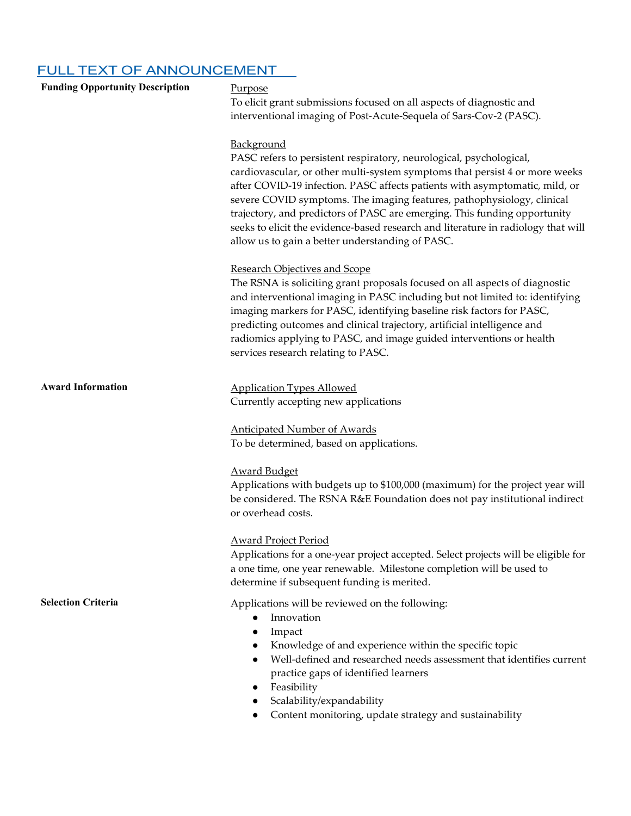# FULL TEXT OF ANNOUNCEMENT

| <b>Funding Opportunity Description</b> | Purpose<br>To elicit grant submissions focused on all aspects of diagnostic and<br>interventional imaging of Post-Acute-Sequela of Sars-Cov-2 (PASC).                                                                                                                                                                                                                                                                                                                                                                                           |
|----------------------------------------|-------------------------------------------------------------------------------------------------------------------------------------------------------------------------------------------------------------------------------------------------------------------------------------------------------------------------------------------------------------------------------------------------------------------------------------------------------------------------------------------------------------------------------------------------|
|                                        | Background<br>PASC refers to persistent respiratory, neurological, psychological,<br>cardiovascular, or other multi-system symptoms that persist 4 or more weeks<br>after COVID-19 infection. PASC affects patients with asymptomatic, mild, or<br>severe COVID symptoms. The imaging features, pathophysiology, clinical<br>trajectory, and predictors of PASC are emerging. This funding opportunity<br>seeks to elicit the evidence-based research and literature in radiology that will<br>allow us to gain a better understanding of PASC. |
|                                        | <b>Research Objectives and Scope</b><br>The RSNA is soliciting grant proposals focused on all aspects of diagnostic<br>and interventional imaging in PASC including but not limited to: identifying<br>imaging markers for PASC, identifying baseline risk factors for PASC,<br>predicting outcomes and clinical trajectory, artificial intelligence and<br>radiomics applying to PASC, and image guided interventions or health<br>services research relating to PASC.                                                                         |
| <b>Award Information</b>               | <b>Application Types Allowed</b><br>Currently accepting new applications                                                                                                                                                                                                                                                                                                                                                                                                                                                                        |
|                                        | <b>Anticipated Number of Awards</b><br>To be determined, based on applications.                                                                                                                                                                                                                                                                                                                                                                                                                                                                 |
|                                        | <b>Award Budget</b><br>Applications with budgets up to \$100,000 (maximum) for the project year will<br>be considered. The RSNA R&E Foundation does not pay institutional indirect<br>or overhead costs.                                                                                                                                                                                                                                                                                                                                        |
|                                        | <b>Award Project Period</b><br>Applications for a one-year project accepted. Select projects will be eligible for<br>a one time, one year renewable. Milestone completion will be used to<br>determine if subsequent funding is merited.                                                                                                                                                                                                                                                                                                        |
| <b>Selection Criteria</b>              | Applications will be reviewed on the following:<br>Innovation<br>$\bullet$<br>Impact<br>$\bullet$<br>Knowledge of and experience within the specific topic<br>Well-defined and researched needs assessment that identifies current<br>practice gaps of identified learners<br>Feasibility<br>$\bullet$                                                                                                                                                                                                                                          |

- Scalability/expandability
- Content monitoring, update strategy and sustainability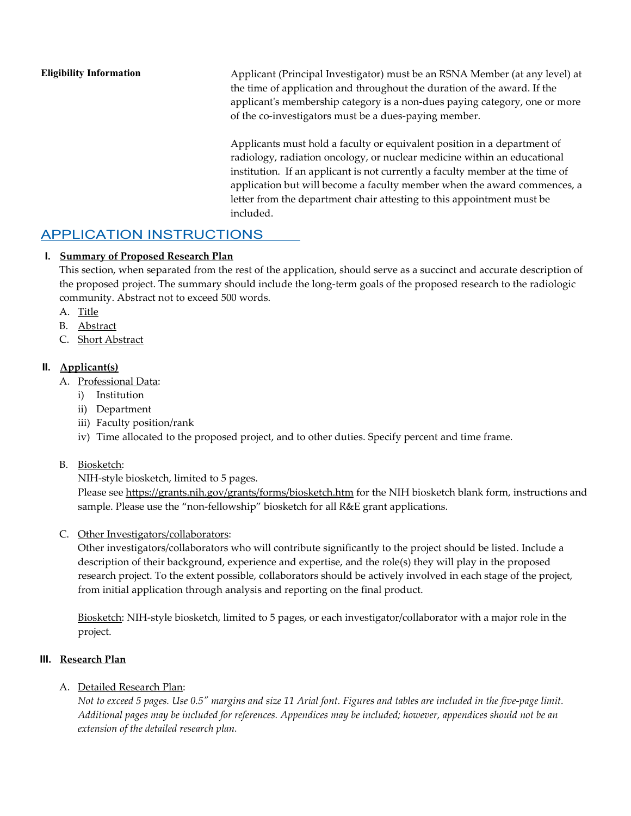**Eligibility Information** Applicant (Principal Investigator) must be an RSNA Member (at any level) at the time of application and throughout the duration of the award. If the applicant's membership category is a non-dues paying category, one or more of the co-investigators must be a dues-paying member.

Applicants must hold a faculty or equivalent position in a department of radiology, radiation oncology, or nuclear medicine within an educational institution. If an applicant is not currently a faculty member at the time of application but will become a faculty member when the award commences, a letter from the department chair attesting to this appointment must be included.

# APPLICATION INSTRUCTIONS

### **I. Summary of Proposed Research Plan**

This section, when separated from the rest of the application, should serve as a succinct and accurate description of the proposed project. The summary should include the long-term goals of the proposed research to the radiologic community. Abstract not to exceed 500 words.

- A. Title
- B. Abstract
- C. Short Abstract

### **II. Applicant(s)**

- A. Professional Data:
	- i) Institution
	- ii) Department
	- iii) Faculty position/rank
	- iv) Time allocated to the proposed project, and to other duties. Specify percent and time frame.

### B. Biosketch:

NIH-style biosketch, limited to 5 pages.

Please see<https://grants.nih.gov/grants/forms/biosketch.htm> for the NIH biosketch blank form, instructions and sample. Please use the "non-fellowship" biosketch for all R&E grant applications.

C. Other Investigators/collaborators:

Other investigators/collaborators who will contribute significantly to the project should be listed. Include a description of their background, experience and expertise, and the role(s) they will play in the proposed research project. To the extent possible, collaborators should be actively involved in each stage of the project, from initial application through analysis and reporting on the final product.

Biosketch: NIH-style biosketch, limited to 5 pages, or each investigator/collaborator with a major role in the project.

### **III. Research Plan**

A. Detailed Research Plan:

*Not to exceed 5 pages. Use 0.5" margins and size 11 Arial font. Figures and tables are included in the five-page limit. Additional pages may be included for references. Appendices may be included; however, appendices should not be an extension of the detailed research plan.*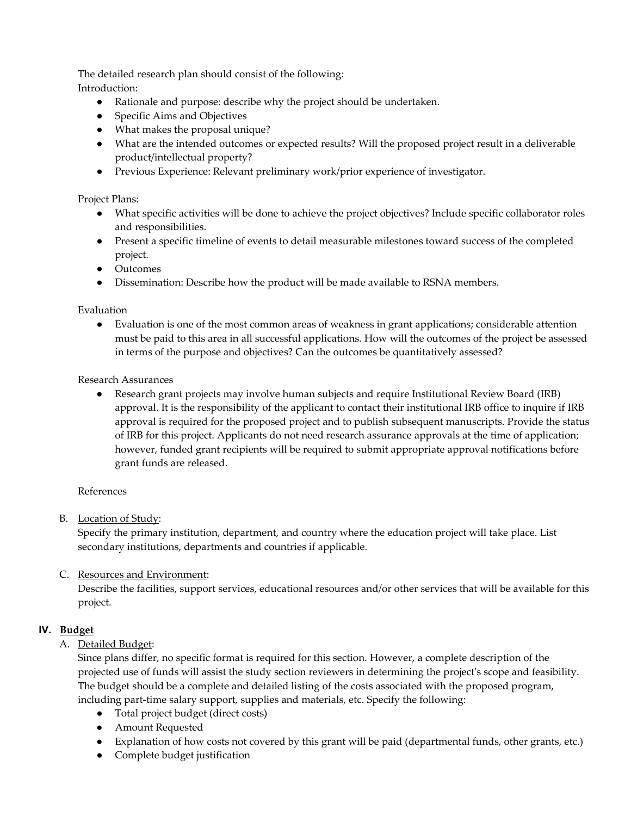The detailed research plan should consist of the following: Introduction:

- Rationale and purpose: describe why the project should be undertaken.
- Specific Aims and Objectives
- What makes the proposal unique?
- What are the intended outcomes or expected results? Will the proposed project result in a deliverable product/intellectual property?
- Previous Experience: Relevant preliminary work/prior experience of investigator.

#### Project Plans:

- What specific activities will be done to achieve the project objectives? Include specific collaborator roles and responsibilities.
- Present a specific timeline of events to detail measurable milestones toward success of the completed project.
- Outcomes
- Dissemination: Describe how the product will be made available to RSNA members.

#### Evaluation

● Evaluation is one of the most common areas of weakness in grant applications; considerable attention must be paid to this area in all successful applications. How will the outcomes of the project be assessed in terms of the purpose and objectives? Can the outcomes be quantitatively assessed?

#### Research Assurances

● Research grant projects may involve human subjects and require Institutional Review Board (IRB) approval. It is the responsibility of the applicant to contact their institutional IRB office to inquire if IRB approval is required for the proposed project and to publish subsequent manuscripts. Provide the status of IRB for this project. Applicants do not need research assurance approvals at the time of application; however, funded grant recipients will be required to submit appropriate approval notifications before grant funds are released.

#### References

B. Location of Study:

Specify the primary institution, department, and country where the education project will take place. List secondary institutions, departments and countries if applicable.

### C. Resources and Environment:

Describe the facilities, support services, educational resources and/or other services that will be available for this project.

### **IV. Budget**

A. Detailed Budget:

Since plans differ, no specific format is required for this section. However, a complete description of the projected use of funds will assist the study section reviewers in determining the project's scope and feasibility. The budget should be a complete and detailed listing of the costs associated with the proposed program, including part-time salary support, supplies and materials, etc. Specify the following:

- Total project budget (direct costs)
- Amount Requested
- Explanation of how costs not covered by this grant will be paid (departmental funds, other grants, etc.)
- Complete budget justification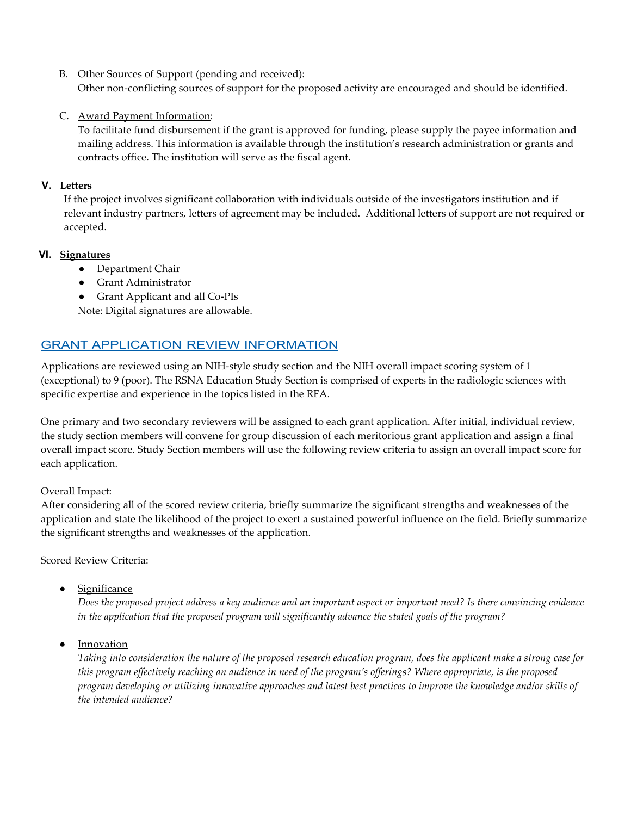#### B. Other Sources of Support (pending and received):

Other non-conflicting sources of support for the proposed activity are encouraged and should be identified.

### C. Award Payment Information:

To facilitate fund disbursement if the grant is approved for funding, please supply the payee information and mailing address. This information is available through the institution's research administration or grants and contracts office. The institution will serve as the fiscal agent.

#### **V. Letters**

If the project involves significant collaboration with individuals outside of the investigators institution and if relevant industry partners, letters of agreement may be included. Additional letters of support are not required or accepted.

### **VI. Signatures**

- Department Chair
- Grant Administrator
- Grant Applicant and all Co-PIs

Note: Digital signatures are allowable.

# GRANT APPLICATION REVIEW INFORMATION

Applications are reviewed using an NIH-style study section and the NIH overall impact scoring system of 1 (exceptional) to 9 (poor). The RSNA Education Study Section is comprised of experts in the radiologic sciences with specific expertise and experience in the topics listed in the RFA.

One primary and two secondary reviewers will be assigned to each grant application. After initial, individual review, the study section members will convene for group discussion of each meritorious grant application and assign a final overall impact score. Study Section members will use the following review criteria to assign an overall impact score for each application.

### Overall Impact:

After considering all of the scored review criteria, briefly summarize the significant strengths and weaknesses of the application and state the likelihood of the project to exert a sustained powerful influence on the field. Briefly summarize the significant strengths and weaknesses of the application.

Scored Review Criteria:

● Significance

*Does the proposed project address a key audience and an important aspect or important need? Is there convincing evidence in the application that the proposed program will significantly advance the stated goals of the program?*

● Innovation

*Taking into consideration the nature of the proposed research education program, does the applicant make a strong case for this program effectively reaching an audience in need of the program's offerings? Where appropriate, is the proposed program developing or utilizing innovative approaches and latest best practices to improve the knowledge and/or skills of the intended audience?*